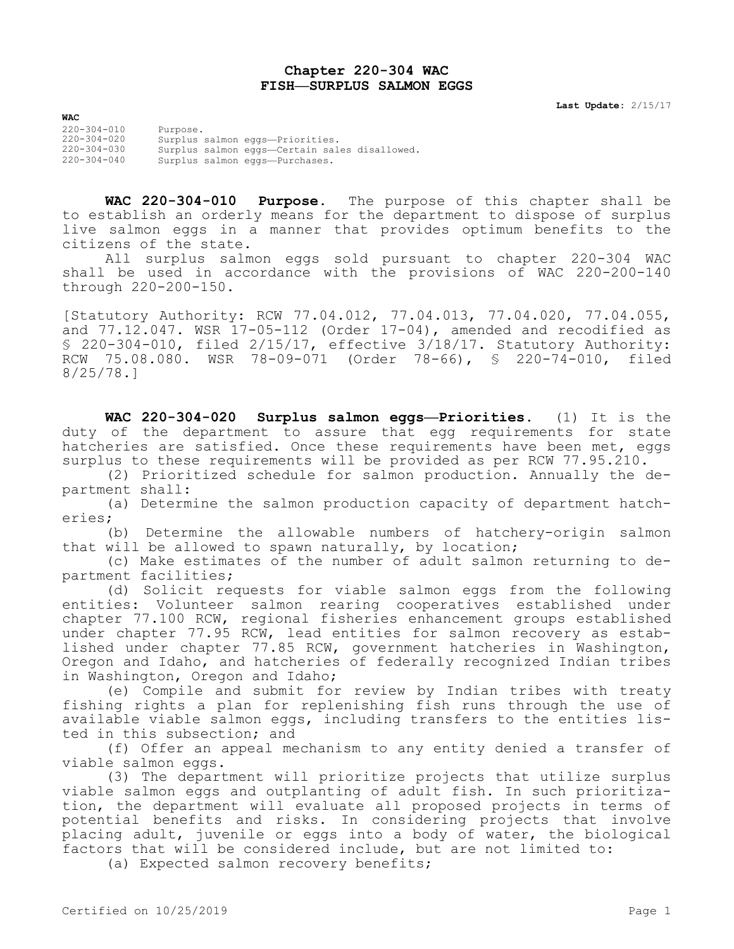## **Chapter 220-304 WAC FISH—SURPLUS SALMON EGGS**

**Last Update:** 2/15/17

**WAC** 220-304-010 Purpose. 220-304-020 Surplus salmon eggs—Priorities. 220-304-030 Surplus salmon eggs—Certain sales disallowed. 220-304-040 Surplus salmon eggs—Purchases.

**WAC 220-304-010 Purpose.** The purpose of this chapter shall be to establish an orderly means for the department to dispose of surplus live salmon eggs in a manner that provides optimum benefits to the citizens of the state.

All surplus salmon eggs sold pursuant to chapter 220-304 WAC shall be used in accordance with the provisions of WAC 220-200-140 through 220-200-150.

[Statutory Authority: RCW 77.04.012, 77.04.013, 77.04.020, 77.04.055, and  $77.12.047$ . WSR  $17-05-112$  (Order  $17-04$ ), amended and recodified as § 220-304-010, filed 2/15/17, effective 3/18/17. Statutory Authority: RCW 75.08.080. WSR 78-09-071 (Order 78-66), § 220-74-010, filed 8/25/78.]

**WAC 220-304-020 Surplus salmon eggs—Priorities.** (1) It is the duty of the department to assure that egg requirements for state hatcheries are satisfied. Once these requirements have been met, eggs surplus to these requirements will be provided as per RCW 77.95.210.

(2) Prioritized schedule for salmon production. Annually the department shall:

(a) Determine the salmon production capacity of department hatcheries;

(b) Determine the allowable numbers of hatchery-origin salmon that will be allowed to spawn naturally, by location;

(c) Make estimates of the number of adult salmon returning to department facilities;

(d) Solicit requests for viable salmon eggs from the following entities: Volunteer salmon rearing cooperatives established under chapter 77.100 RCW, regional fisheries enhancement groups established under chapter 77.95 RCW, lead entities for salmon recovery as established under chapter 77.85 RCW, government hatcheries in Washington, Oregon and Idaho, and hatcheries of federally recognized Indian tribes in Washington, Oregon and Idaho;

(e) Compile and submit for review by Indian tribes with treaty fishing rights a plan for replenishing fish runs through the use of available viable salmon eggs, including transfers to the entities listed in this subsection; and

(f) Offer an appeal mechanism to any entity denied a transfer of viable salmon eggs.

(3) The department will prioritize projects that utilize surplus viable salmon eggs and outplanting of adult fish. In such prioritization, the department will evaluate all proposed projects in terms of potential benefits and risks. In considering projects that involve placing adult, juvenile or eggs into a body of water, the biological factors that will be considered include, but are not limited to:

(a) Expected salmon recovery benefits;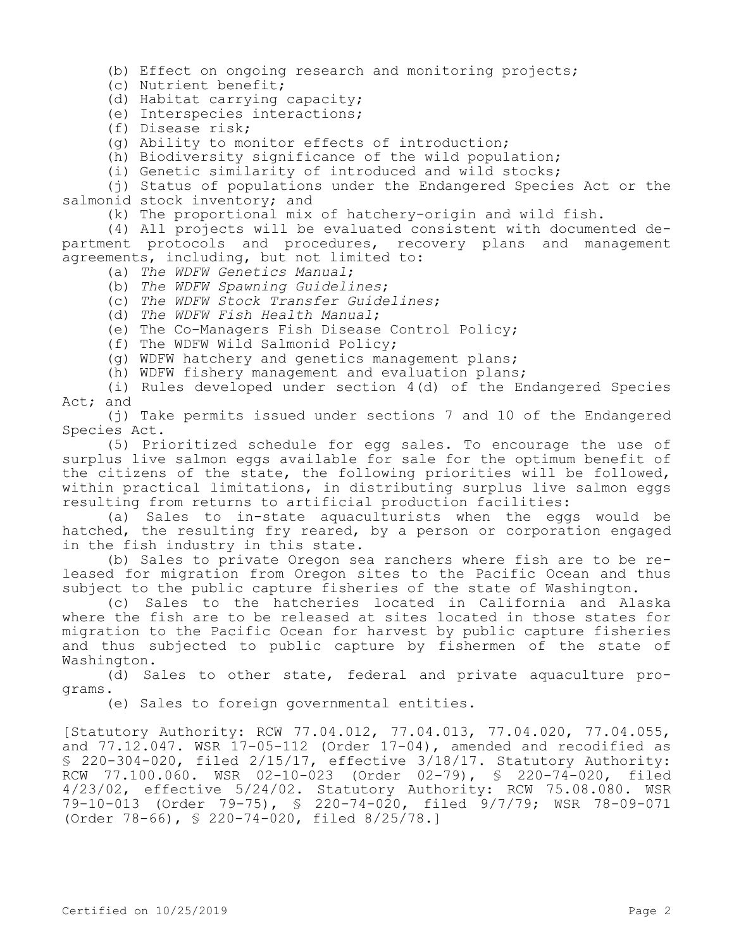(b) Effect on ongoing research and monitoring projects;

(c) Nutrient benefit;

(d) Habitat carrying capacity;

(e) Interspecies interactions;

(f) Disease risk;

(g) Ability to monitor effects of introduction;

(h) Biodiversity significance of the wild population;

(i) Genetic similarity of introduced and wild stocks;

(j) Status of populations under the Endangered Species Act or the salmonid stock inventory; and

(k) The proportional mix of hatchery-origin and wild fish.

(4) All projects will be evaluated consistent with documented department protocols and procedures, recovery plans and management agreements, including, but not limited to:

- (a) *The WDFW Genetics Manual*;
- (b) *The WDFW Spawning Guidelines*;
- (c) *The WDFW Stock Transfer Guidelines*;
- (d) *The WDFW Fish Health Manual*;

(e) The Co-Managers Fish Disease Control Policy;

(f) The WDFW Wild Salmonid Policy;

(g) WDFW hatchery and genetics management plans;

(h) WDFW fishery management and evaluation plans;

(i) Rules developed under section 4(d) of the Endangered Species Act; and

(j) Take permits issued under sections 7 and 10 of the Endangered Species Act.

(5) Prioritized schedule for egg sales. To encourage the use of surplus live salmon eggs available for sale for the optimum benefit of the citizens of the state, the following priorities will be followed, within practical limitations, in distributing surplus live salmon eggs resulting from returns to artificial production facilities:

(a) Sales to in-state aquaculturists when the eggs would be hatched, the resulting fry reared, by a person or corporation engaged in the fish industry in this state.

(b) Sales to private Oregon sea ranchers where fish are to be released for migration from Oregon sites to the Pacific Ocean and thus subject to the public capture fisheries of the state of Washington.

(c) Sales to the hatcheries located in California and Alaska where the fish are to be released at sites located in those states for migration to the Pacific Ocean for harvest by public capture fisheries and thus subjected to public capture by fishermen of the state of Washington.

(d) Sales to other state, federal and private aquaculture programs.

(e) Sales to foreign governmental entities.

[Statutory Authority: RCW 77.04.012, 77.04.013, 77.04.020, 77.04.055, and 77.12.047. WSR 17-05-112 (Order 17-04), amended and recodified as § 220-304-020, filed 2/15/17, effective 3/18/17. Statutory Authority: RCW 77.100.060. WSR 02-10-023 (Order 02-79), § 220-74-020, filed 4/23/02, effective 5/24/02. Statutory Authority: RCW 75.08.080. WSR 79-10-013 (Order 79-75), § 220-74-020, filed 9/7/79; WSR 78-09-071 (Order 78-66), § 220-74-020, filed 8/25/78.]